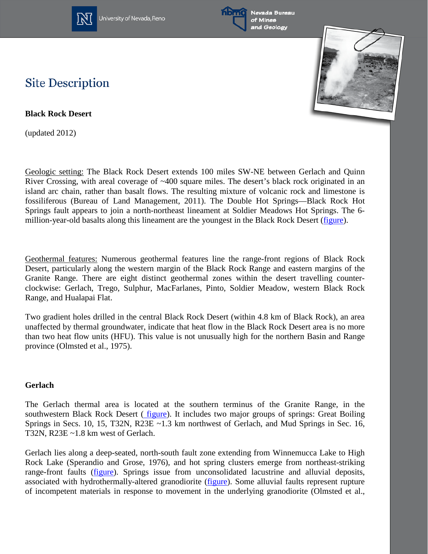





## **Site Description**

**Black Rock Desert**

(updated 2012)

Geologic setting: The Black Rock Desert extends 100 miles SW-NE between Gerlach and Quinn River Crossing, with areal coverage of ~400 square miles. The desert's black rock originated in an island arc chain, rather than basalt flows. The resulting mixture of volcanic rock and limestone is fossiliferous (Bureau of Land Management, 2011). The Double Hot Springs—Black Rock Hot Springs fault appears to join a north-northeast lineament at Soldier Meadows Hot Springs. The 6 million-year-old basalts along this lineament are the youngest in the Black Rock Desert [\(figure\)](http://www.nbmg.unr.edu/geothermal/figures/fig28.pdf).

Geothermal features: Numerous geothermal features line the range-front regions of Black Rock Desert, particularly along the western margin of the Black Rock Range and eastern margins of the Granite Range. There are eight distinct geothermal zones within the desert travelling counterclockwise: Gerlach, Trego, Sulphur, MacFarlanes, Pinto, Soldier Meadow, western Black Rock Range, and Hualapai Flat.

Two gradient holes drilled in the central Black Rock Desert (within 4.8 km of Black Rock), an area unaffected by thermal groundwater, indicate that heat flow in the Black Rock Desert area is no more than two heat flow units (HFU). This value is not unusually high for the northern Basin and Range province (Olmsted et al., 1975).

### **Gerlach**

The Gerlach thermal area is located at the southern terminus of the Granite Range, in the southwestern Black Rock Desert ( [figure\)](http://www.nbmg.unr.edu/geothermal/figures/fig49.pdf). It includes two major groups of springs: Great Boiling Springs in Secs. 10, 15, T32N, R23E ~1.3 km northwest of Gerlach, and Mud Springs in Sec. 16, T32N, R23E ~1.8 km west of Gerlach.

Gerlach lies along a deep-seated, north-south fault zone extending from Winnemucca Lake to High Rock Lake (Sperandio and Grose, 1976), and hot spring clusters emerge from northeast-striking range-front faults [\(figure\)](http://www.nbmg.unr.edu/geothermal/figures/fig49.pdf). Springs issue from unconsolidated lacustrine and alluvial deposits, associated with hydrothermally-altered granodiorite [\(figure\)](http://www.nbmg.unr.edu/geothermal/figures/fig49.pdf). Some alluvial faults represent rupture of incompetent materials in response to movement in the underlying granodiorite (Olmsted et al.,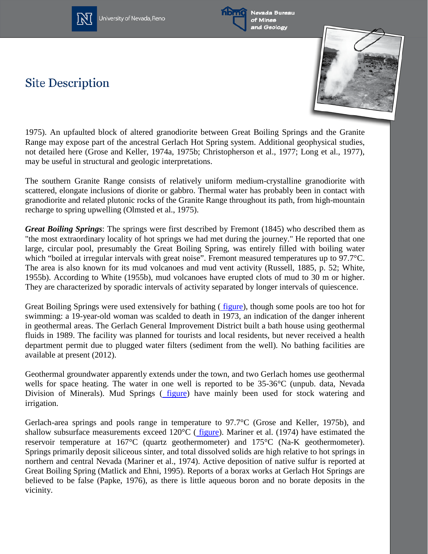



Nevada Bureau of Mines and Geology

# **Site Description**



1975). An upfaulted block of altered granodiorite between Great Boiling Springs and the Granite Range may expose part of the ancestral Gerlach Hot Spring system. Additional geophysical studies, not detailed here (Grose and Keller, 1974a, 1975b; Christopherson et al., 1977; Long et al., 1977), may be useful in structural and geologic interpretations.

The southern Granite Range consists of relatively uniform medium-crystalline granodiorite with scattered, elongate inclusions of diorite or gabbro. Thermal water has probably been in contact with granodiorite and related plutonic rocks of the Granite Range throughout its path, from high-mountain recharge to spring upwelling (Olmsted et al., 1975).

*Great Boiling Springs*: The springs were first described by Fremont (1845) who described them as "the most extraordinary locality of hot springs we had met during the journey." He reported that one large, circular pool, presumably the Great Boiling Spring, was entirely filled with boiling water which "boiled at irregular intervals with great noise". Fremont measured temperatures up to 97.7°C. The area is also known for its mud volcanoes and mud vent activity (Russell, 1885, p. 52; White, 1955b). According to White (1955b), mud volcanoes have erupted clots of mud to 30 m or higher. They are characterized by sporadic intervals of activity separated by longer intervals of quiescence.

Great Boiling Springs were used extensively for bathing ([figure\)](http://www.nbmg.unr.edu/geothermal/figures/fig50.pdf), though some pools are too hot for swimming: a 19-year-old woman was scalded to death in 1973, an indication of the danger inherent in geothermal areas. The Gerlach General Improvement District built a bath house using geothermal fluids in 1989. The facility was planned for tourists and local residents, but never received a health department permit due to plugged water filters (sediment from the well). No bathing facilities are available at present (2012).

Geothermal groundwater apparently extends under the town, and two Gerlach homes use geothermal wells for space heating. The water in one well is reported to be 35-36°C (unpub. data, Nevada Division of Minerals). Mud Springs ( [figure\)](http://www.nbmg.unr.edu/geothermal/figures/fig51.pdf) have mainly been used for stock watering and irrigation.

Gerlach-area springs and pools range in temperature to 97.7°C (Grose and Keller, 1975b), and shallow subsurface measurements exceed 120°C ( [figure\)](http://www.nbmg.unr.edu/geothermal/figures/fig52.pdf). Mariner et al. (1974) have estimated the reservoir temperature at 167°C (quartz geothermometer) and 175°C (Na-K geothermometer). Springs primarily deposit siliceous sinter, and total dissolved solids are high relative to hot springs in northern and central Nevada (Mariner et al., 1974). Active deposition of native sulfur is reported at Great Boiling Spring (Matlick and Ehni, 1995). Reports of a borax works at Gerlach Hot Springs are believed to be false (Papke, 1976), as there is little aqueous boron and no borate deposits in the vicinity.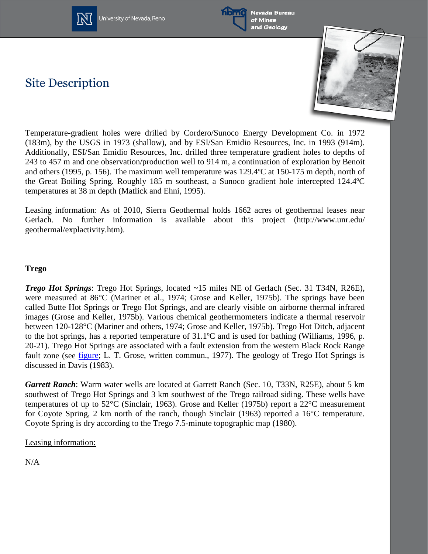



Nevada Bureau of Mines and Geology

# **Site Description**



Temperature-gradient holes were drilled by Cordero/Sunoco Energy Development Co. in 1972 (183m), by the USGS in 1973 (shallow), and by ESI/San Emidio Resources, Inc. in 1993 (914m). Additionally, ESI/San Emidio Resources, Inc. drilled three temperature gradient holes to depths of 243 to 457 m and one observation/production well to 914 m, a continuation of exploration by Benoit and others (1995, p. 156). The maximum well temperature was 129.4ºC at 150-175 m depth, north of the Great Boiling Spring. Roughly 185 m southeast, a Sunoco gradient hole intercepted 124.4ºC temperatures at 38 m depth (Matlick and Ehni, 1995).

Leasing information: As of 2010, Sierra Geothermal holds 1662 acres of geothermal leases near Gerlach. No further information is available about this project (http://www.unr.edu/ geothermal/explactivity.htm).

#### **Trego**

*Trego Hot Springs*: Trego Hot Springs, located ~15 miles NE of Gerlach (Sec. 31 T34N, R26E), were measured at 86°C (Mariner et al., 1974; Grose and Keller, 1975b). The springs have been called Butte Hot Springs or Trego Hot Springs, and are clearly visible on airborne thermal infrared images (Grose and Keller, 1975b). Various chemical geothermometers indicate a thermal reservoir between 120-128°C (Mariner and others, 1974; Grose and Keller, 1975b). Trego Hot Ditch, adjacent to the hot springs, has a reported temperature of 31.1ºC and is used for bathing (Williams, 1996, p. 20-21). Trego Hot Springs are associated with a fault extension from the western Black Rock Range fault zone (see [figure;](http://www.nbmg.unr.edu/geothermal/figures/fig41.pdf) L. T. Grose, written commun., 1977). The geology of Trego Hot Springs is discussed in Davis (1983).

*Garrett Ranch*: Warm water wells are located at Garrett Ranch (Sec. 10, T33N, R25E), about 5 km southwest of Trego Hot Springs and 3 km southwest of the Trego railroad siding. These wells have temperatures of up to 52°C (Sinclair, 1963). Grose and Keller (1975b) report a 22°C measurement for Coyote Spring, 2 km north of the ranch, though Sinclair (1963) reported a 16°C temperature. Coyote Spring is dry according to the Trego 7.5-minute topographic map (1980).

#### Leasing information:

N/A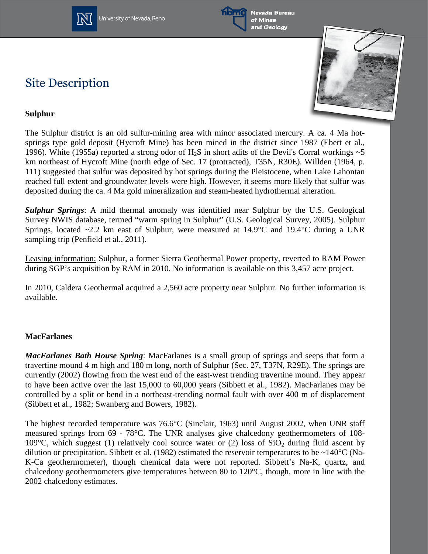



Nevada Bureau of Mines and Geology

# **Site Description**



### **Sulphur**

The Sulphur district is an old sulfur-mining area with minor associated mercury. A ca. 4 Ma hotsprings type gold deposit (Hycroft Mine) has been mined in the district since 1987 (Ebert et al., 1996). White (1955a) reported a strong odor of  $H_2S$  in short adits of the Devil's Corral workings  $\sim$ 5 km northeast of Hycroft Mine (north edge of Sec. 17 (protracted), T35N, R30E). Willden (1964, p. 111) suggested that sulfur was deposited by hot springs during the Pleistocene, when Lake Lahontan reached full extent and groundwater levels were high. However, it seems more likely that sulfur was deposited during the ca. 4 Ma gold mineralization and steam-heated hydrothermal alteration.

*Sulphur Springs*: A mild thermal anomaly was identified near Sulphur by the U.S. Geological Survey NWIS database, termed "warm spring in Sulphur" (U.S. Geological Survey, 2005). Sulphur Springs, located ~2.2 km east of Sulphur, were measured at 14.9°C and 19.4°C during a UNR sampling trip (Penfield et al., 2011).

Leasing information: Sulphur, a former Sierra Geothermal Power property, reverted to RAM Power during SGP's acquisition by RAM in 2010. No information is available on this 3,457 acre project.

In 2010, Caldera Geothermal acquired a 2,560 acre property near Sulphur. No further information is available.

### **MacFarlanes**

*MacFarlanes Bath House Spring*: MacFarlanes is a small group of springs and seeps that form a travertine mound 4 m high and 180 m long, north of Sulphur (Sec. 27, T37N, R29E). The springs are currently (2002) flowing from the west end of the east-west trending travertine mound. They appear to have been active over the last 15,000 to 60,000 years (Sibbett et al., 1982). MacFarlanes may be controlled by a split or bend in a northeast-trending normal fault with over 400 m of displacement (Sibbett et al., 1982; Swanberg and Bowers, 1982).

The highest recorded temperature was 76.6°C (Sinclair, 1963) until August 2002, when UNR staff measured springs from 69 - 78°C. The UNR analyses give chalcedony geothermometers of 108- 109 $^{\circ}$ C, which suggest (1) relatively cool source water or (2) loss of SiO<sub>2</sub> during fluid ascent by dilution or precipitation. Sibbett et al. (1982) estimated the reservoir temperatures to be ~140°C (Na-K-Ca geothermometer), though chemical data were not reported. Sibbett's Na-K, quartz, and chalcedony geothermometers give temperatures between 80 to 120°C, though, more in line with the 2002 chalcedony estimates.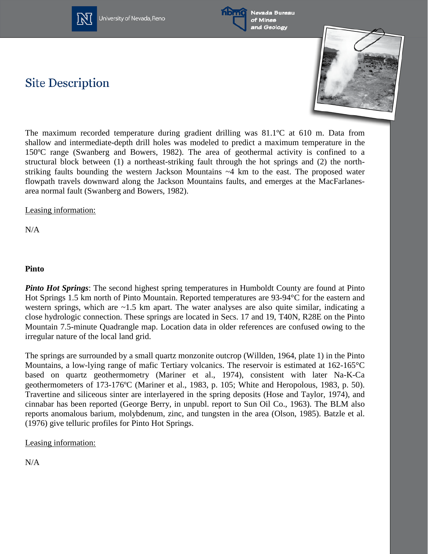



Nevada Bureau of Mines and Geology

# **Site Description**



The maximum recorded temperature during gradient drilling was 81.1ºC at 610 m. Data from shallow and intermediate-depth drill holes was modeled to predict a maximum temperature in the 150ºC range (Swanberg and Bowers, 1982). The area of geothermal activity is confined to a structural block between (1) a northeast-striking fault through the hot springs and (2) the northstriking faults bounding the western Jackson Mountains ~4 km to the east. The proposed water flowpath travels downward along the Jackson Mountains faults, and emerges at the MacFarlanesarea normal fault (Swanberg and Bowers, 1982).

Leasing information:

N/A

### **Pinto**

*Pinto Hot Springs*: The second highest spring temperatures in Humboldt County are found at Pinto Hot Springs 1.5 km north of Pinto Mountain. Reported temperatures are 93-94°C for the eastern and western springs, which are ~1.5 km apart. The water analyses are also quite similar, indicating a close hydrologic connection. These springs are located in Secs. 17 and 19, T40N, R28E on the Pinto Mountain 7.5-minute Quadrangle map. Location data in older references are confused owing to the irregular nature of the local land grid.

The springs are surrounded by a small quartz monzonite outcrop (Willden, 1964, plate 1) in the Pinto Mountains, a low-lying range of mafic Tertiary volcanics. The reservoir is estimated at 162-165°C based on quartz geothermometry (Mariner et al., 1974), consistent with later Na-K-Ca geothermometers of 173-176ºC (Mariner et al., 1983, p. 105; White and Heropolous, 1983, p. 50). Travertine and siliceous sinter are interlayered in the spring deposits (Hose and Taylor, 1974), and cinnabar has been reported (George Berry, in unpubl. report to Sun Oil Co., 1963). The BLM also reports anomalous barium, molybdenum, zinc, and tungsten in the area (Olson, 1985). Batzle et al. (1976) give telluric profiles for Pinto Hot Springs.

Leasing information:

N/A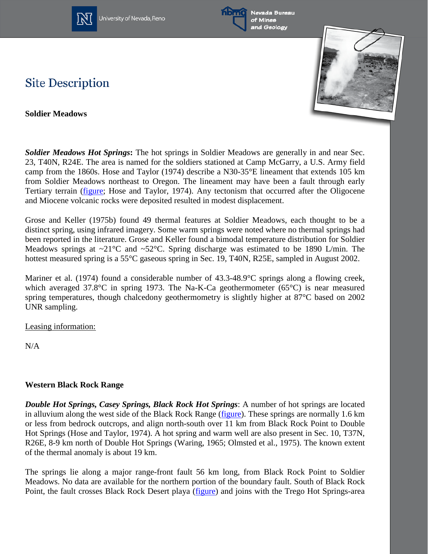



Nevada Bureau of Mines and Geology

### **Site Description**

**Soldier Meadows**



*Soldier Meadows Hot Springs***:** The hot springs in Soldier Meadows are generally in and near Sec. 23, T40N, R24E. The area is named for the soldiers stationed at Camp McGarry, a U.S. Army field camp from the 1860s. Hose and Taylor (1974) describe a N30-35°E lineament that extends 105 km from Soldier Meadows northeast to Oregon. The lineament may have been a fault through early Tertiary terrain [\(figure;](http://www.nbmg.unr.edu/geothermal/figures/fig28.pdf) Hose and Taylor, 1974). Any tectonism that occurred after the Oligocene and Miocene volcanic rocks were deposited resulted in modest displacement.

Grose and Keller (1975b) found 49 thermal features at Soldier Meadows, each thought to be a distinct spring, using infrared imagery. Some warm springs were noted where no thermal springs had been reported in the literature. Grose and Keller found a bimodal temperature distribution for Soldier Meadows springs at  $\sim$ 21°C and  $\sim$ 52°C. Spring discharge was estimated to be 1890 L/min. The hottest measured spring is a 55<sup>o</sup>C gaseous spring in Sec. 19, T40N, R25E, sampled in August 2002.

Mariner et al. (1974) found a considerable number of 43.3-48.9°C springs along a flowing creek, which averaged 37.8°C in spring 1973. The Na-K-Ca geothermometer (65°C) is near measured spring temperatures, though chalcedony geothermometry is slightly higher at 87°C based on 2002 UNR sampling.

Leasing information:

N/A

### **Western Black Rock Range**

*Double Hot Springs, Casey Springs, Black Rock Hot Springs*: A number of hot springs are located in alluvium along the west side of the Black Rock Range [\(figure\)](http://www.nbmg.unr.edu/geothermal/figures/fig27.pdf). These springs are normally 1.6 km or less from bedrock outcrops, and align north-south over 11 km from Black Rock Point to Double Hot Springs (Hose and Taylor, 1974). A hot spring and warm well are also present in Sec. 10, T37N, R26E, 8-9 km north of Double Hot Springs (Waring, 1965; Olmsted et al., 1975). The known extent of the thermal anomaly is about 19 km.

The springs lie along a major range-front fault 56 km long, from Black Rock Point to Soldier Meadows. No data are available for the northern portion of the boundary fault. South of Black Rock Point, the fault crosses Black Rock Desert playa [\(figure\)](http://www.nbmg.unr.edu/geothermal/figures/fig27.pdf) and joins with the Trego Hot Springs-area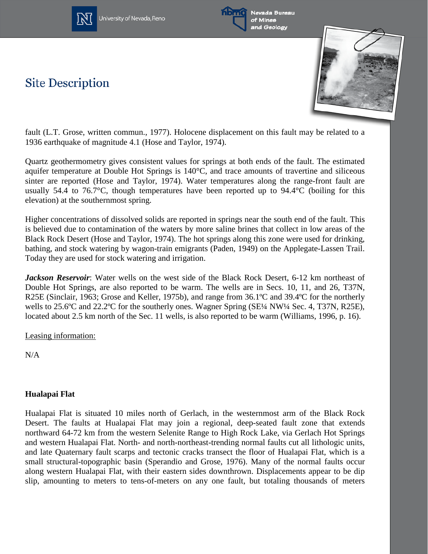



**Site Description** 



fault (L.T. Grose, written commun., 1977). Holocene displacement on this fault may be related to a 1936 earthquake of magnitude 4.1 (Hose and Taylor, 1974).

Quartz geothermometry gives consistent values for springs at both ends of the fault. The estimated aquifer temperature at Double Hot Springs is 140°C, and trace amounts of travertine and siliceous sinter are reported (Hose and Taylor, 1974). Water temperatures along the range-front fault are usually 54.4 to 76.7°C, though temperatures have been reported up to 94.4°C (boiling for this elevation) at the southernmost spring.

Higher concentrations of dissolved solids are reported in springs near the south end of the fault. This is believed due to contamination of the waters by more saline brines that collect in low areas of the Black Rock Desert (Hose and Taylor, 1974). The hot springs along this zone were used for drinking, bathing, and stock watering by wagon-train emigrants (Paden, 1949) on the Applegate-Lassen Trail. Today they are used for stock watering and irrigation.

*Jackson Reservoir*: Water wells on the west side of the Black Rock Desert, 6-12 km northeast of Double Hot Springs, are also reported to be warm. The wells are in Secs. 10, 11, and 26, T37N, R25E (Sinclair, 1963; Grose and Keller, 1975b), and range from 36.1ºC and 39.4ºC for the northerly wells to 25.6°C and 22.2°C for the southerly ones. Wagner Spring (SE¼ NW¼ Sec. 4, T37N, R25E), located about 2.5 km north of the Sec. 11 wells, is also reported to be warm (Williams, 1996, p. 16).

Leasing information:

N/A

### **Hualapai Flat**

Hualapai Flat is situated 10 miles north of Gerlach, in the westernmost arm of the Black Rock Desert. The faults at Hualapai Flat may join a regional, deep-seated fault zone that extends northward 64-72 km from the western Selenite Range to High Rock Lake, via Gerlach Hot Springs and western Hualapai Flat. North- and north-northeast-trending normal faults cut all lithologic units, and late Quaternary fault scarps and tectonic cracks transect the floor of Hualapai Flat, which is a small structural-topographic basin (Sperandio and Grose, 1976). Many of the normal faults occur along western Hualapai Flat, with their eastern sides downthrown. Displacements appear to be dip slip, amounting to meters to tens-of-meters on any one fault, but totaling thousands of meters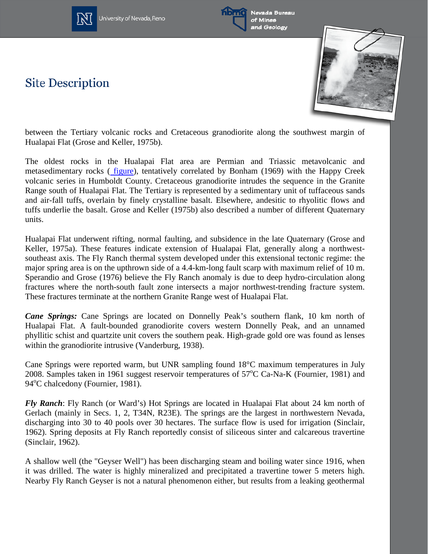



**Site Description** 



between the Tertiary volcanic rocks and Cretaceous granodiorite along the southwest margin of Hualapai Flat (Grose and Keller, 1975b).

The oldest rocks in the Hualapai Flat area are Permian and Triassic metavolcanic and metasedimentary rocks ( [figure\)](http://www.nbmg.unr.edu/geothermal/figures/fig48.pdf), tentatively correlated by Bonham (1969) with the Happy Creek volcanic series in Humboldt County. Cretaceous granodiorite intrudes the sequence in the Granite Range south of Hualapai Flat. The Tertiary is represented by a sedimentary unit of tuffaceous sands and air-fall tuffs, overlain by finely crystalline basalt. Elsewhere, andesitic to rhyolitic flows and tuffs underlie the basalt. Grose and Keller (1975b) also described a number of different Quaternary units.

Hualapai Flat underwent rifting, normal faulting, and subsidence in the late Quaternary (Grose and Keller, 1975a). These features indicate extension of Hualapai Flat, generally along a northwestsoutheast axis. The Fly Ranch thermal system developed under this extensional tectonic regime: the major spring area is on the upthrown side of a 4.4-km-long fault scarp with maximum relief of 10 m. Sperandio and Grose (1976) believe the Fly Ranch anomaly is due to deep hydro-circulation along fractures where the north-south fault zone intersects a major northwest-trending fracture system. These fractures terminate at the northern Granite Range west of Hualapai Flat.

*Cane Springs:* Cane Springs are located on Donnelly Peak's southern flank, 10 km north of Hualapai Flat. A fault-bounded granodiorite covers western Donnelly Peak, and an unnamed phyllitic schist and quartzite unit covers the southern peak. High-grade gold ore was found as lenses within the granodiorite intrusive (Vanderburg, 1938).

Cane Springs were reported warm, but UNR sampling found 18°C maximum temperatures in July 2008. Samples taken in 1961 suggest reservoir temperatures of 57°C Ca-Na-K (Fournier, 1981) and 94°C chalcedony (Fournier, 1981).

*Fly Ranch*: Fly Ranch (or Ward's) Hot Springs are located in Hualapai Flat about 24 km north of Gerlach (mainly in Secs. 1, 2, T34N, R23E). The springs are the largest in northwestern Nevada, discharging into 30 to 40 pools over 30 hectares. The surface flow is used for irrigation (Sinclair, 1962). Spring deposits at Fly Ranch reportedly consist of siliceous sinter and calcareous travertine (Sinclair, 1962).

A shallow well (the "Geyser Well") has been discharging steam and boiling water since 1916, when it was drilled. The water is highly mineralized and precipitated a travertine tower 5 meters high. Nearby Fly Ranch Geyser is not a natural phenomenon either, but results from a leaking geothermal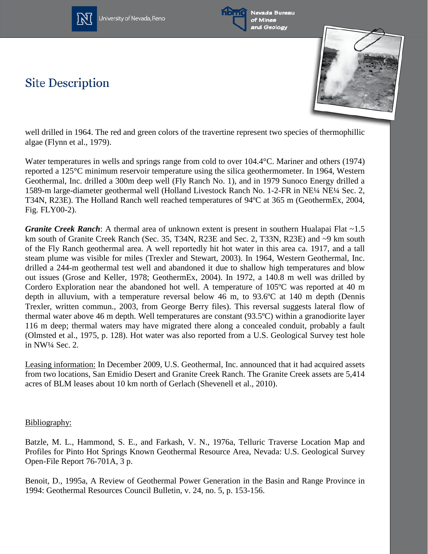



Nevada Bureau of Mines and Geology

## **Site Description**



well drilled in 1964. The red and green colors of the travertine represent two species of thermophillic algae (Flynn et al., 1979).

Water temperatures in wells and springs range from cold to over 104.4°C. Mariner and others (1974) reported a 125°C minimum reservoir temperature using the silica geothermometer. In 1964, Western Geothermal, Inc. drilled a 300m deep well (Fly Ranch No. 1), and in 1979 Sunoco Energy drilled a 1589-m large-diameter geothermal well (Holland Livestock Ranch No. 1-2-FR in NE¼ NE¼ Sec. 2, T34N, R23E). The Holland Ranch well reached temperatures of 94ºC at 365 m (GeothermEx, 2004, Fig. FLY00-2).

*Granite Creek Ranch*: A thermal area of unknown extent is present in southern Hualapai Flat ~1.5 km south of Granite Creek Ranch (Sec. 35, T34N, R23E and Sec. 2, T33N, R23E) and ~9 km south of the Fly Ranch geothermal area. A well reportedly hit hot water in this area ca. 1917, and a tall steam plume was visible for miles (Trexler and Stewart, 2003). In 1964, Western Geothermal, Inc. drilled a 244-m geothermal test well and abandoned it due to shallow high temperatures and blow out issues (Grose and Keller, 1978; GeothermEx, 2004). In 1972, a 140.8 m well was drilled by Cordero Exploration near the abandoned hot well. A temperature of 105ºC was reported at 40 m depth in alluvium, with a temperature reversal below 46 m, to 93.6ºC at 140 m depth (Dennis Trexler, written commun., 2003, from George Berry files). This reversal suggests lateral flow of thermal water above 46 m depth. Well temperatures are constant (93.5ºC) within a granodiorite layer 116 m deep; thermal waters may have migrated there along a concealed conduit, probably a fault (Olmsted et al., 1975, p. 128). Hot water was also reported from a U.S. Geological Survey test hole in NW¼ Sec. 2.

Leasing information: In December 2009, U.S. Geothermal, Inc. announced that it had acquired assets from two locations, San Emidio Desert and Granite Creek Ranch. The Granite Creek assets are 5,414 acres of BLM leases about 10 km north of Gerlach (Shevenell et al., 2010).

#### Bibliography:

Batzle, M. L., Hammond, S. E., and Farkash, V. N., 1976a, Telluric Traverse Location Map and Profiles for Pinto Hot Springs Known Geothermal Resource Area, Nevada: U.S. Geological Survey Open-File Report 76-701A, 3 p.

Benoit, D., 1995a, A Review of Geothermal Power Generation in the Basin and Range Province in 1994: Geothermal Resources Council Bulletin, v. 24, no. 5, p. 153-156.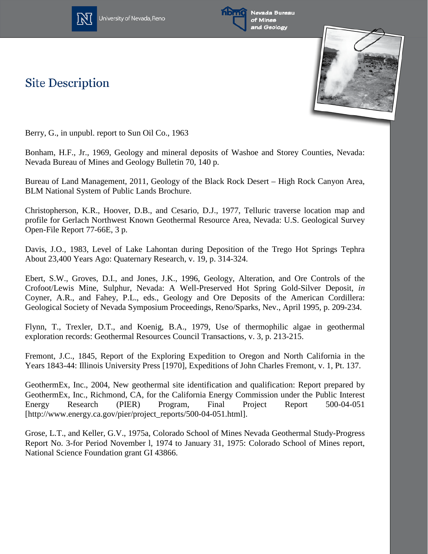

**Site Description** 





Berry, G., in unpubl. report to Sun Oil Co., 1963

Bonham, H.F., Jr., 1969, Geology and mineral deposits of Washoe and Storey Counties, Nevada: Nevada Bureau of Mines and Geology Bulletin 70, 140 p.

Bureau of Land Management, 2011, Geology of the Black Rock Desert – High Rock Canyon Area, BLM National System of Public Lands Brochure.

Christopherson, K.R., Hoover, D.B., and Cesario, D.J., 1977, Telluric traverse location map and profile for Gerlach Northwest Known Geothermal Resource Area, Nevada: U.S. Geological Survey Open-File Report 77-66E, 3 p.

Davis, J.O., 1983, Level of Lake Lahontan during Deposition of the Trego Hot Springs Tephra About 23,400 Years Ago: Quaternary Research, v. 19, p. 314-324.

Ebert, S.W., Groves, D.I., and Jones, J.K., 1996, Geology, Alteration, and Ore Controls of the Crofoot/Lewis Mine, Sulphur, Nevada: A Well-Preserved Hot Spring Gold-Silver Deposit, *in* Coyner, A.R., and Fahey, P.L., eds., Geology and Ore Deposits of the American Cordillera: Geological Society of Nevada Symposium Proceedings, Reno/Sparks, Nev., April 1995, p. 209-234.

Flynn, T., Trexler, D.T., and Koenig, B.A., 1979, Use of thermophilic algae in geothermal exploration records: Geothermal Resources Council Transactions, v. 3, p. 213-215.

Fremont, J.C., 1845, Report of the Exploring Expedition to Oregon and North California in the Years 1843-44: Illinois University Press [1970], Expeditions of John Charles Fremont, v. 1, Pt. 137.

GeothermEx, Inc., 2004, New geothermal site identification and qualification: Report prepared by GeothermEx, Inc., Richmond, CA, for the California Energy Commission under the Public Interest Energy Research (PIER) Program, Final Project Report 500-04-051 [http://www.energy.ca.gov/pier/project\_reports/500-04-051.html].

Grose, L.T., and Keller, G.V., 1975a, Colorado School of Mines Nevada Geothermal Study-Progress Report No. 3-for Period November l, 1974 to January 31, 1975: Colorado School of Mines report, National Science Foundation grant GI 43866.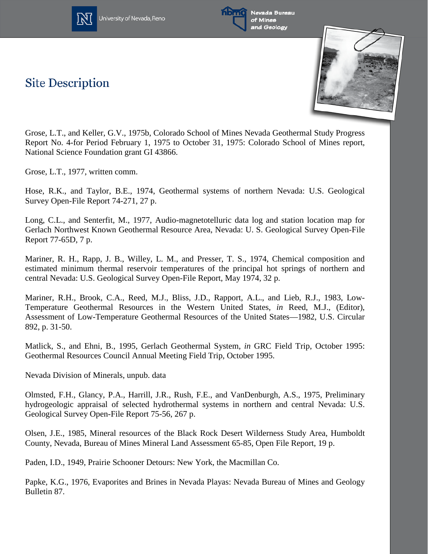



of Mines and Geology

**Site Description** 



Grose, L.T., and Keller, G.V., 1975b, Colorado School of Mines Nevada Geothermal Study Progress Report No. 4-for Period February 1, 1975 to October 31, 1975: Colorado School of Mines report, National Science Foundation grant GI 43866.

Grose, L.T., 1977, written comm.

Hose, R.K., and Taylor, B.E., 1974, Geothermal systems of northern Nevada: U.S. Geological Survey Open-File Report 74-271, 27 p.

Long, C.L., and Senterfit, M., 1977, Audio-magnetotelluric data log and station location map for Gerlach Northwest Known Geothermal Resource Area, Nevada: U. S. Geological Survey Open-File Report 77-65D, 7 p.

Mariner, R. H., Rapp, J. B., Willey, L. M., and Presser, T. S., 1974, Chemical composition and estimated minimum thermal reservoir temperatures of the principal hot springs of northern and central Nevada: U.S. Geological Survey Open-File Report, May 1974, 32 p.

Mariner, R.H., Brook, C.A., Reed, M.J., Bliss, J.D., Rapport, A.L., and Lieb, R.J., 1983, Low-Temperature Geothermal Resources in the Western United States*, in* Reed, M.J., (Editor), Assessment of Low-Temperature Geothermal Resources of the United States—1982, U.S. Circular 892, p. 31-50.

Matlick, S., and Ehni, B., 1995, Gerlach Geothermal System, *in* GRC Field Trip, October 1995: Geothermal Resources Council Annual Meeting Field Trip, October 1995.

Nevada Division of Minerals, unpub. data

Olmsted, F.H., Glancy, P.A., Harrill, J.R., Rush, F.E., and VanDenburgh, A.S., 1975, Preliminary hydrogeologic appraisal of selected hydrothermal systems in northern and central Nevada: U.S. Geological Survey Open-File Report 75-56, 267 p.

Olsen, J.E., 1985, Mineral resources of the Black Rock Desert Wilderness Study Area, Humboldt County, Nevada, Bureau of Mines Mineral Land Assessment 65-85, Open File Report, 19 p.

Paden, I.D., 1949, Prairie Schooner Detours: New York, the Macmillan Co.

Papke, K.G., 1976, Evaporites and Brines in Nevada Playas: Nevada Bureau of Mines and Geology Bulletin 87.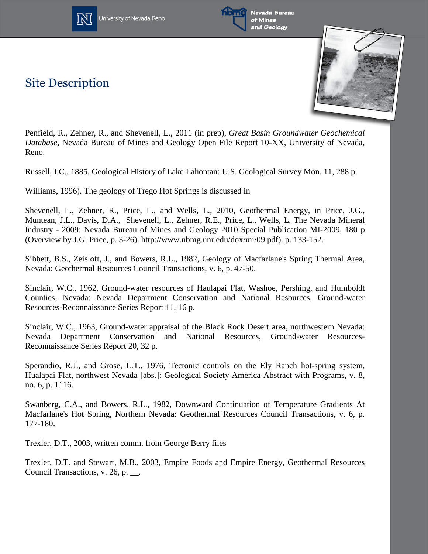

**Site Description** 





Penfield, R., Zehner, R., and Shevenell, L., 2011 (in prep), *Great Basin Groundwater Geochemical Database*, Nevada Bureau of Mines and Geology Open File Report 10-XX, University of Nevada, Reno.

Russell, I.C., 1885, Geological History of Lake Lahontan: U.S. Geological Survey Mon. 11, 288 p.

Williams, 1996). The geology of Trego Hot Springs is discussed in

Shevenell, L., Zehner, R., Price, L., and Wells, L., 2010, Geothermal Energy, in Price, J.G., Muntean, J.L., Davis, D.A., Shevenell, L., Zehner, R.E., Price, L., Wells, L. The Nevada Mineral Industry - 2009: Nevada Bureau of Mines and Geology 2010 Special Publication MI-2009, 180 p (Overview by J.G. Price, p. 3-26). http://www.nbmg.unr.edu/dox/mi/09.pdf). p. 133-152.

Sibbett, B.S., Zeisloft, J., and Bowers, R.L., 1982, Geology of Macfarlane's Spring Thermal Area, Nevada: Geothermal Resources Council Transactions, v. 6, p. 47-50.

Sinclair, W.C., 1962, Ground-water resources of Haulapai Flat, Washoe, Pershing, and Humboldt Counties, Nevada: Nevada Department Conservation and National Resources, Ground-water Resources-Reconnaissance Series Report 11, 16 p.

Sinclair, W.C., 1963, Ground-water appraisal of the Black Rock Desert area, northwestern Nevada: Nevada Department Conservation and National Resources, Ground-water Resources-Reconnaissance Series Report 20, 32 p.

Sperandio, R.J., and Grose, L.T., 1976, Tectonic controls on the Ely Ranch hot-spring system, Hualapai Flat, northwest Nevada [abs.]: Geological Society America Abstract with Programs, v. 8, no. 6, p. 1116.

Swanberg, C.A., and Bowers, R.L., 1982, Downward Continuation of Temperature Gradients At Macfarlane's Hot Spring, Northern Nevada: Geothermal Resources Council Transactions, v. 6, p. 177-180.

Trexler, D.T., 2003, written comm. from George Berry files

Trexler, D.T. and Stewart, M.B., 2003, Empire Foods and Empire Energy, Geothermal Resources Council Transactions, v. 26, p. \_\_.